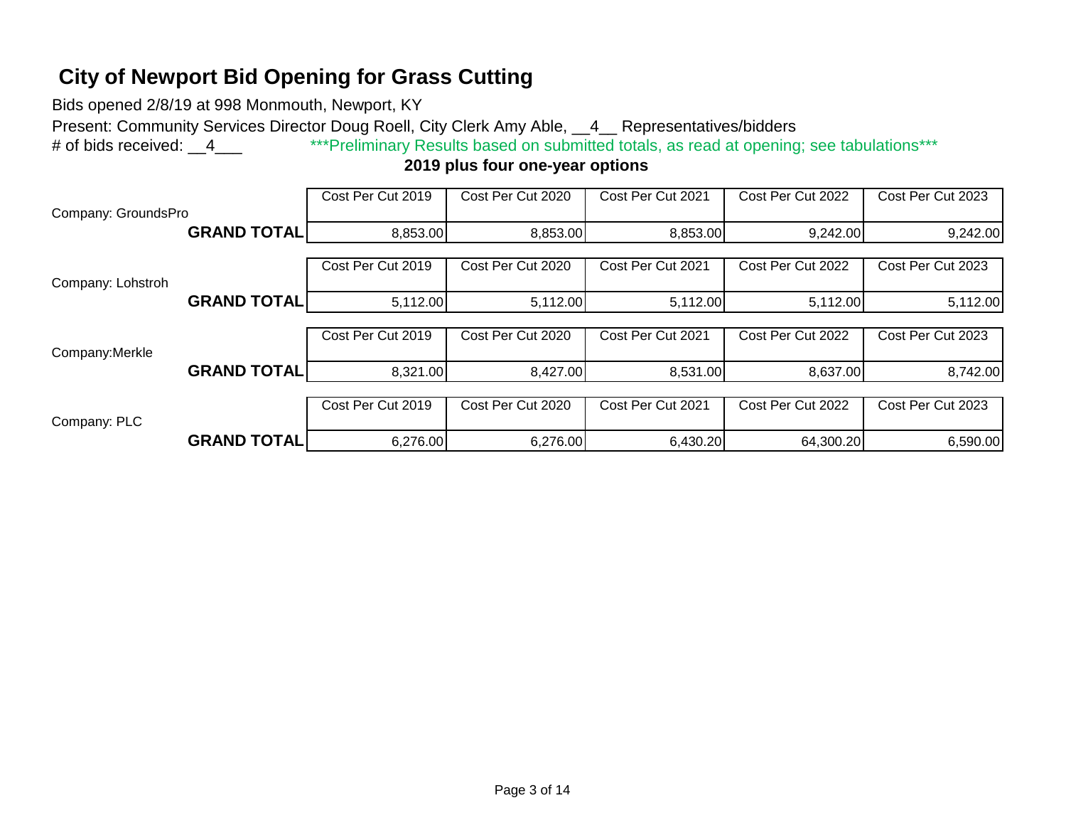## **City of Newport Bid Opening for Grass Cutting**

Bids opened 2/8/19 at 998 Monmouth, Newport, KY

Present: Community Services Director Doug Roell, City Clerk Amy Able, 4\_ Representatives/bidders

# of bids received: 4\_\_\_ \*\*\*\*Preliminary Results based on submitted totals, as read at opening; see tabulations\*\*\*

**2019 plus four one-year options**

| Company: GroundsPro |                    | Cost Per Cut 2019 | Cost Per Cut 2020 | Cost Per Cut 2021 | Cost Per Cut 2022 | Cost Per Cut 2023 |  |
|---------------------|--------------------|-------------------|-------------------|-------------------|-------------------|-------------------|--|
|                     | <b>GRAND TOTAL</b> | 8,853.00          | 8,853.00          | 8,853.00          | 9,242.00          | 9,242.00          |  |
| Company: Lohstroh   |                    | Cost Per Cut 2019 | Cost Per Cut 2020 | Cost Per Cut 2021 | Cost Per Cut 2022 | Cost Per Cut 2023 |  |
|                     | <b>GRAND TOTAL</b> | 5,112.00          | 5,112.00          | 5,112.00          | 5,112.00          | 5,112.00          |  |
| Company: Merkle     |                    | Cost Per Cut 2019 | Cost Per Cut 2020 | Cost Per Cut 2021 | Cost Per Cut 2022 | Cost Per Cut 2023 |  |
|                     | <b>GRAND TOTAL</b> | 8,321.00          | 8,427.00          | 8,531.00          | 8,637.00          | 8,742.00          |  |
| Company: PLC        |                    | Cost Per Cut 2019 | Cost Per Cut 2020 | Cost Per Cut 2021 | Cost Per Cut 2022 | Cost Per Cut 2023 |  |
|                     | <b>GRAND TOTAL</b> | 6,276.00          | 6,276.00          | 6,430.20          | 64,300.20         | 6,590.00          |  |